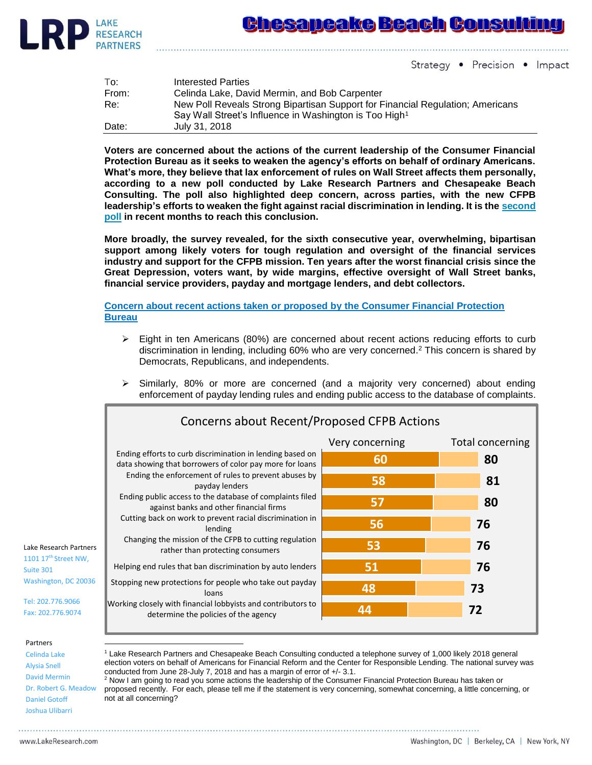

Strategy • Precision • Impact

| To:   | Interested Parties                                                             |
|-------|--------------------------------------------------------------------------------|
| From: | Celinda Lake, David Mermin, and Bob Carpenter                                  |
| Re:   | New Poll Reveals Strong Bipartisan Support for Financial Regulation; Americans |
|       | Say Wall Street's Influence in Washington is Too High <sup>1</sup>             |
| Date: | July 31, 2018                                                                  |

**Voters are concerned about the actions of the current leadership of the Consumer Financial Protection Bureau as it seeks to weaken the agency's efforts on behalf of ordinary Americans. What's more, they believe that lax enforcement of rules on Wall Street affects them personally, according to a new poll conducted by Lake Research Partners and Chesapeake Beach Consulting. The poll also highlighted deep concern, across parties, with the new CFPB leadership's efforts to weaken the fight against racial discrimination in lending. It is the [second](https://ourfinancialsecurity.org/2018/05/tows-poll-voters-support-efforts-fight-lending-discrimination/)  [poll](https://ourfinancialsecurity.org/2018/05/tows-poll-voters-support-efforts-fight-lending-discrimination/) in recent months to reach this conclusion.**

**More broadly, the survey revealed, for the sixth consecutive year, overwhelming, bipartisan support among likely voters for tough regulation and oversight of the financial services industry and support for the CFPB mission. Ten years after the worst financial crisis since the Great Depression, voters want, by wide margins, effective oversight of Wall Street banks, financial service providers, payday and mortgage lenders, and debt collectors.** 

**Concern about recent actions taken or proposed by the Consumer Financial Protection Bureau**

- ➢ Eight in ten Americans (80%) are concerned about recent actions reducing efforts to curb discrimination in lending, including 60% who are very concerned. <sup>2</sup> This concern is shared by Democrats, Republicans, and independents.
- $\triangleright$  Similarly, 80% or more are concerned (and a majority very concerned) about ending enforcement of payday lending rules and ending public access to the database of complaints.

|                                                                                                                                           | Concerns about Recent/Proposed CFPB Actions                                                                                                                                                                                                                                                                                                                                                                                                                                                                                                                                                                 |                 |                  |  |  |  |
|-------------------------------------------------------------------------------------------------------------------------------------------|-------------------------------------------------------------------------------------------------------------------------------------------------------------------------------------------------------------------------------------------------------------------------------------------------------------------------------------------------------------------------------------------------------------------------------------------------------------------------------------------------------------------------------------------------------------------------------------------------------------|-----------------|------------------|--|--|--|
| Lake Research Partners<br>1101 17 <sup>th</sup> Street NW,<br>Suite 301<br>Washington, DC 20036<br>Tel: 202.776.9066<br>Fax: 202.776.9074 | Ending efforts to curb discrimination in lending based on<br>data showing that borrowers of color pay more for loans<br>Ending the enforcement of rules to prevent abuses by<br>payday lenders<br>Ending public access to the database of complaints filed<br>against banks and other financial firms<br>Cutting back on work to prevent racial discrimination in<br>lending<br>Changing the mission of the CFPB to cutting regulation<br>rather than protecting consumers<br>Helping end rules that ban discrimination by auto lenders<br>Stopping new protections for people who take out payday<br>loans | Very concerning | Total concerning |  |  |  |
|                                                                                                                                           |                                                                                                                                                                                                                                                                                                                                                                                                                                                                                                                                                                                                             | 60<br>58        | 80<br>81         |  |  |  |
|                                                                                                                                           |                                                                                                                                                                                                                                                                                                                                                                                                                                                                                                                                                                                                             | 57              | 80               |  |  |  |
|                                                                                                                                           |                                                                                                                                                                                                                                                                                                                                                                                                                                                                                                                                                                                                             | 56              | 76               |  |  |  |
|                                                                                                                                           |                                                                                                                                                                                                                                                                                                                                                                                                                                                                                                                                                                                                             | 53              | 76               |  |  |  |
|                                                                                                                                           |                                                                                                                                                                                                                                                                                                                                                                                                                                                                                                                                                                                                             | 51              | 76               |  |  |  |
|                                                                                                                                           |                                                                                                                                                                                                                                                                                                                                                                                                                                                                                                                                                                                                             | 48              | 73               |  |  |  |
|                                                                                                                                           | Working closely with financial lobbyists and contributors to<br>determine the policies of the agency                                                                                                                                                                                                                                                                                                                                                                                                                                                                                                        | 44              | 72               |  |  |  |

## Partners

Celinda Lake Alysia Snell David Mermin Dr. Robert G. Meadow Daniel Gotoff Joshua Ulibarri

 $\overline{a}$ 

<sup>1</sup> Lake Research Partners and Chesapeake Beach Consulting conducted a telephone survey of 1,000 likely 2018 general election voters on behalf of Americans for Financial Reform and the Center for Responsible Lending. The national survey was conducted from June 28-July 7, 2018 and has a margin of error of +/- 3.1.

<sup>2</sup> Now I am going to read you some actions the leadership of the Consumer Financial Protection Bureau has taken or proposed recently. For each, please tell me if the statement is very concerning, somewhat concerning, a little concerning, or not at all concerning?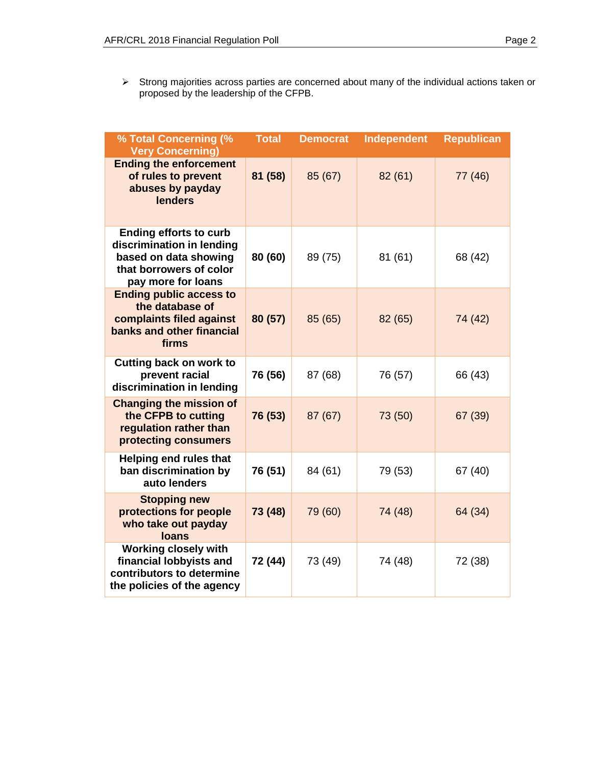$\triangleright$  Strong majorities across parties are concerned about many of the individual actions taken or proposed by the leadership of the CFPB.

| % Total Concerning (%<br><b>Very Concerning)</b>                                                                                     | <b>Total</b> | <b>Democrat</b> | Independent | <b>Republican</b> |
|--------------------------------------------------------------------------------------------------------------------------------------|--------------|-----------------|-------------|-------------------|
| <b>Ending the enforcement</b><br>of rules to prevent<br>abuses by payday<br><b>lenders</b>                                           | 81 (58)      | 85 (67)         | 82(61)      | 77 (46)           |
| <b>Ending efforts to curb</b><br>discrimination in lending<br>based on data showing<br>that borrowers of color<br>pay more for loans | 80 (60)      | 89 (75)         | 81(61)      | 68 (42)           |
| <b>Ending public access to</b><br>the database of<br>complaints filed against<br>banks and other financial<br>firms                  | 80 (57)      | 85 (65)         | 82 (65)     | 74 (42)           |
| Cutting back on work to<br>prevent racial<br>discrimination in lending                                                               | 76 (56)      | 87 (68)         | 76 (57)     | 66 (43)           |
| <b>Changing the mission of</b><br>the CFPB to cutting<br>regulation rather than<br>protecting consumers                              | 76 (53)      | 87 (67)         | 73 (50)     | 67 (39)           |
| <b>Helping end rules that</b><br>ban discrimination by<br>auto lenders                                                               | 76 (51)      | 84 (61)         | 79 (53)     | 67 (40)           |
| <b>Stopping new</b><br>protections for people<br>who take out payday<br><b>loans</b>                                                 | 73 (48)      | 79 (60)         | 74 (48)     | 64 (34)           |
| <b>Working closely with</b><br>financial lobbyists and<br>contributors to determine<br>the policies of the agency                    | 72 (44)      | 73 (49)         | 74 (48)     | 72 (38)           |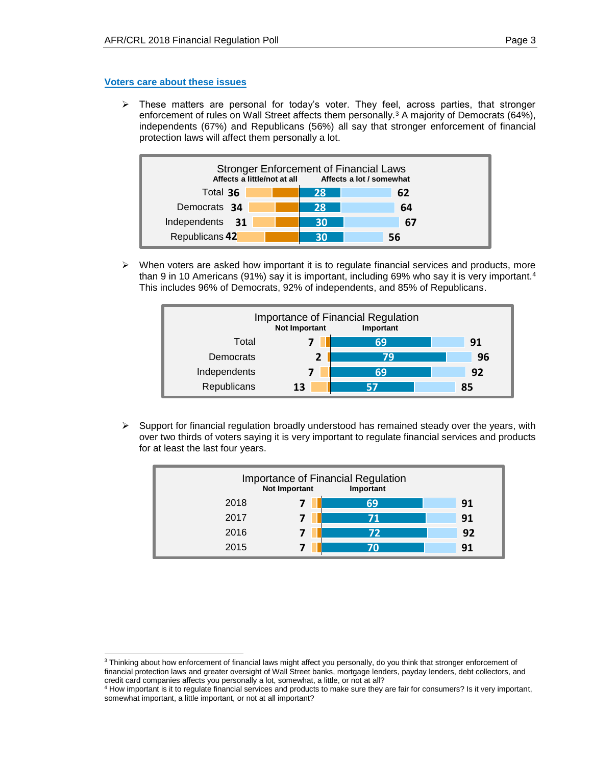## **Voters care about these issues**

 $\overline{a}$ 

 $\triangleright$  These matters are personal for today's voter. They feel, across parties, that stronger enforcement of rules on Wall Street affects them personally.<sup>3</sup> A majority of Democrats (64%), independents (67%) and Republicans (56%) all say that stronger enforcement of financial protection laws will affect them personally a lot.



 $\triangleright$  When voters are asked how important it is to regulate financial services and products, more than 9 in 10 Americans (91%) say it is important, including 69% who say it is very important.<sup>4</sup> This includes 96% of Democrats, 92% of independents, and 85% of Republicans.



 $\triangleright$  Support for financial regulation broadly understood has remained steady over the years, with over two thirds of voters saying it is very important to regulate financial services and products for at least the last four years.



<sup>&</sup>lt;sup>3</sup> Thinking about how enforcement of financial laws might affect you personally, do you think that stronger enforcement of financial protection laws and greater oversight of Wall Street banks, mortgage lenders, payday lenders, debt collectors, and credit card companies affects you personally a lot, somewhat, a little, or not at all?

<sup>&</sup>lt;sup>4</sup> How important is it to regulate financial services and products to make sure they are fair for consumers? Is it very important, somewhat important, a little important, or not at all important?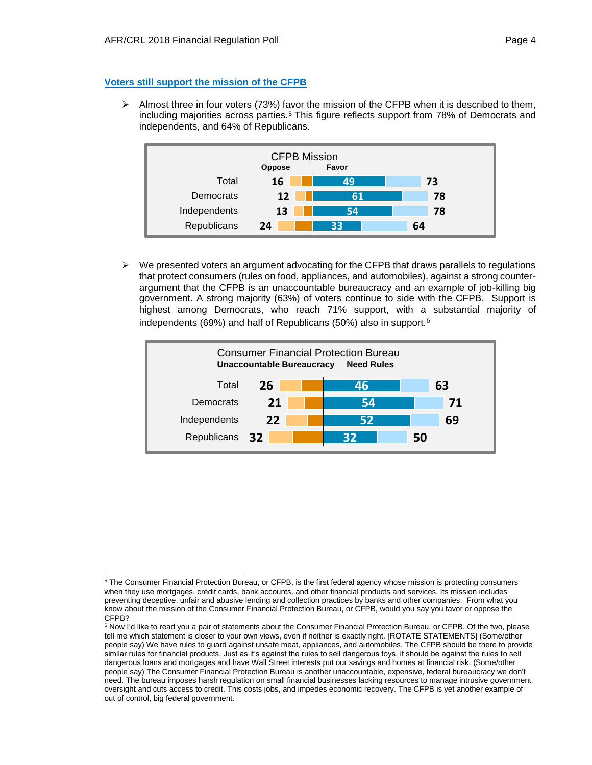## **Voters still support the mission of the CFPB**

 $\triangleright$  Almost three in four voters (73%) favor the mission of the CFPB when it is described to them, including majorities across parties.<sup>5</sup> This figure reflects support from 78% of Democrats and independents, and 64% of Republicans.



 $\triangleright$  We presented voters an argument advocating for the CFPB that draws parallels to regulations that protect consumers (rules on food, appliances, and automobiles), against a strong counterargument that the CFPB is an unaccountable bureaucracy and an example of job-killing big government. A strong majority (63%) of voters continue to side with the CFPB. Support is highest among Democrats, who reach 71% support, with a substantial majority of independents (69%) and half of Republicans (50%) also in support.<sup>6</sup>



 $\overline{a}$ <sup>5</sup> The Consumer Financial Protection Bureau, or CFPB, is the first federal agency whose mission is protecting consumers when they use mortgages, credit cards, bank accounts, and other financial products and services. Its mission includes preventing deceptive, unfair and abusive lending and collection practices by banks and other companies. From what you know about the mission of the Consumer Financial Protection Bureau, or CFPB, would you say you favor or oppose the CFPB?

 $6$  Now I'd like to read you a pair of statements about the Consumer Financial Protection Bureau, or CFPB. Of the two, please tell me which statement is closer to your own views, even if neither is exactly right. [ROTATE STATEMENTS] (Some/other people say) We have rules to guard against unsafe meat, appliances, and automobiles. The CFPB should be there to provide similar rules for financial products. Just as it's against the rules to sell dangerous toys, it should be against the rules to sell dangerous loans and mortgages and have Wall Street interests put our savings and homes at financial risk. (Some/other people say) The Consumer Financial Protection Bureau is another unaccountable, expensive, federal bureaucracy we don't need. The bureau imposes harsh regulation on small financial businesses lacking resources to manage intrusive government oversight and cuts access to credit. This costs jobs, and impedes economic recovery. The CFPB is yet another example of out of control, big federal government.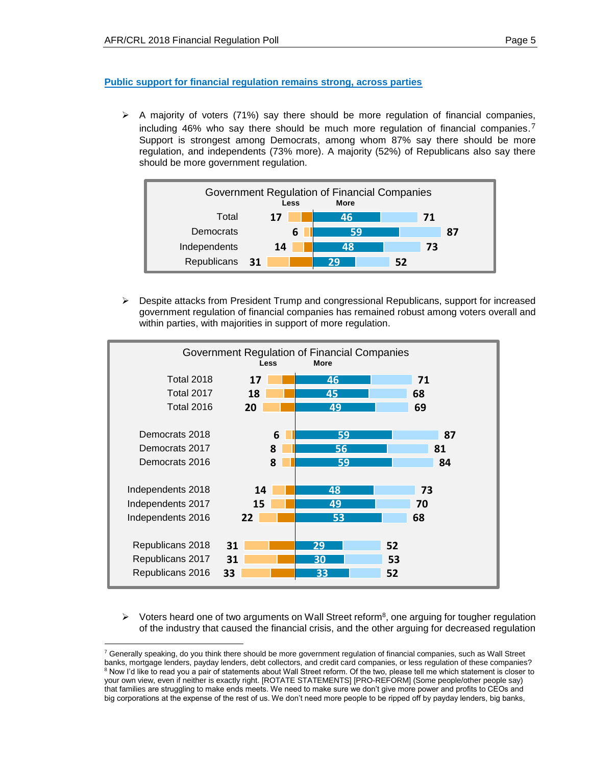## **Public support for financial regulation remains strong, across parties**

 $\triangleright$  A majority of voters (71%) say there should be more regulation of financial companies, including 46% who say there should be much more regulation of financial companies.<sup>7</sup> Support is strongest among Democrats, among whom 87% say there should be more regulation, and independents (73% more). A majority (52%) of Republicans also say there should be more government regulation.



➢ Despite attacks from President Trump and congressional Republicans, support for increased government regulation of financial companies has remained robust among voters overall and within parties, with majorities in support of more regulation.



 $\triangleright$  Voters heard one of two arguments on Wall Street reform<sup>8</sup>, one arguing for tougher regulation of the industry that caused the financial crisis, and the other arguing for decreased regulation

 $\overline{a}$  $7$  Generally speaking, do you think there should be more government regulation of financial companies, such as Wall Street banks, mortgage lenders, payday lenders, debt collectors, and credit card companies, or less regulation of these companies? <sup>8</sup> Now I'd like to read you a pair of statements about Wall Street reform. Of the two, please tell me which statement is closer to your own view, even if neither is exactly right. [ROTATE STATEMENTS] [PRO-REFORM] (Some people/other people say) that families are struggling to make ends meets. We need to make sure we don't give more power and profits to CEOs and big corporations at the expense of the rest of us. We don't need more people to be ripped off by payday lenders, big banks,